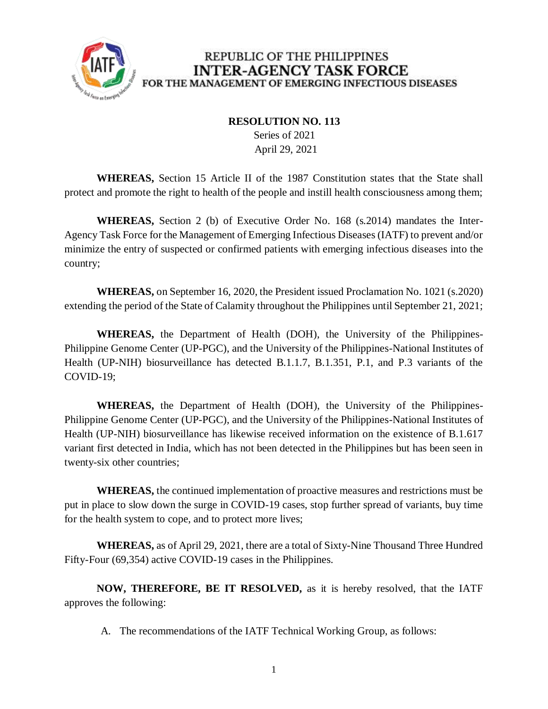

## REPUBLIC OF THE PHILIPPINES **INTER-AGENCY TASK FORCE** FOR THE MANAGEMENT OF EMERGING INFECTIOUS DISEASES

## **RESOLUTION NO. 113**

 Series of 2021 April 29, 2021

**WHEREAS,** Section 15 Article II of the 1987 Constitution states that the State shall protect and promote the right to health of the people and instill health consciousness among them;

**WHEREAS,** Section 2 (b) of Executive Order No. 168 (s.2014) mandates the Inter-Agency Task Force for the Management of Emerging Infectious Diseases (IATF) to prevent and/or minimize the entry of suspected or confirmed patients with emerging infectious diseases into the country;

**WHEREAS,** on September 16, 2020, the President issued Proclamation No. 1021 (s.2020) extending the period of the State of Calamity throughout the Philippines until September 21, 2021;

**WHEREAS,** the Department of Health (DOH), the University of the Philippines-Philippine Genome Center (UP-PGC), and the University of the Philippines-National Institutes of Health (UP-NIH) biosurveillance has detected B.1.1.7, B.1.351, P.1, and P.3 variants of the COVID-19;

**WHEREAS,** the Department of Health (DOH), the University of the Philippines-Philippine Genome Center (UP-PGC), and the University of the Philippines-National Institutes of Health (UP-NIH) biosurveillance has likewise received information on the existence of B.1.617 variant first detected in India, which has not been detected in the Philippines but has been seen in twenty-six other countries;

**WHEREAS,** the continued implementation of proactive measures and restrictions must be put in place to slow down the surge in COVID-19 cases, stop further spread of variants, buy time for the health system to cope, and to protect more lives;

**WHEREAS,** as of April 29, 2021, there are a total of Sixty-Nine Thousand Three Hundred Fifty-Four (69,354) active COVID-19 cases in the Philippines.

**NOW, THEREFORE, BE IT RESOLVED,** as it is hereby resolved, that the IATF approves the following:

A. The recommendations of the IATF Technical Working Group, as follows: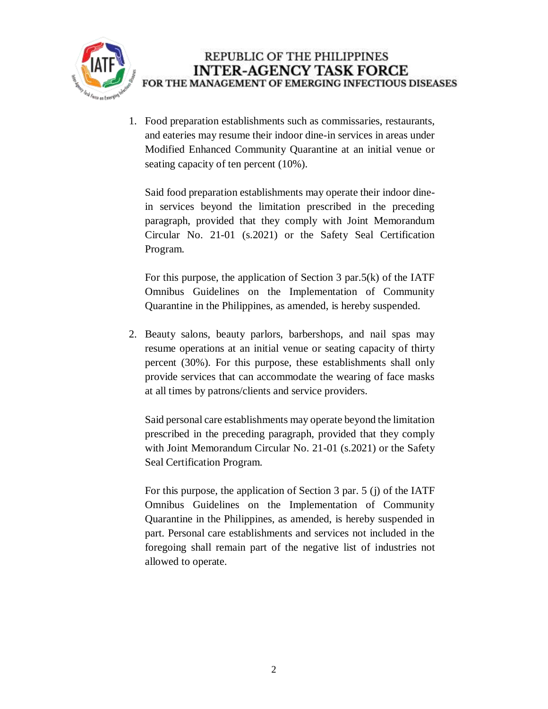

1. Food preparation establishments such as commissaries, restaurants, and eateries may resume their indoor dine-in services in areas under Modified Enhanced Community Quarantine at an initial venue or seating capacity of ten percent (10%).

Said food preparation establishments may operate their indoor dinein services beyond the limitation prescribed in the preceding paragraph, provided that they comply with Joint Memorandum Circular No. 21-01 (s.2021) or the Safety Seal Certification Program.

For this purpose, the application of Section 3 par.5(k) of the IATF Omnibus Guidelines on the Implementation of Community Quarantine in the Philippines, as amended, is hereby suspended.

2. Beauty salons, beauty parlors, barbershops, and nail spas may resume operations at an initial venue or seating capacity of thirty percent (30%). For this purpose, these establishments shall only provide services that can accommodate the wearing of face masks at all times by patrons/clients and service providers.

Said personal care establishments may operate beyond the limitation prescribed in the preceding paragraph, provided that they comply with Joint Memorandum Circular No. 21-01 (s.2021) or the Safety Seal Certification Program.

For this purpose, the application of Section 3 par. 5 (j) of the IATF Omnibus Guidelines on the Implementation of Community Quarantine in the Philippines, as amended, is hereby suspended in part. Personal care establishments and services not included in the foregoing shall remain part of the negative list of industries not allowed to operate.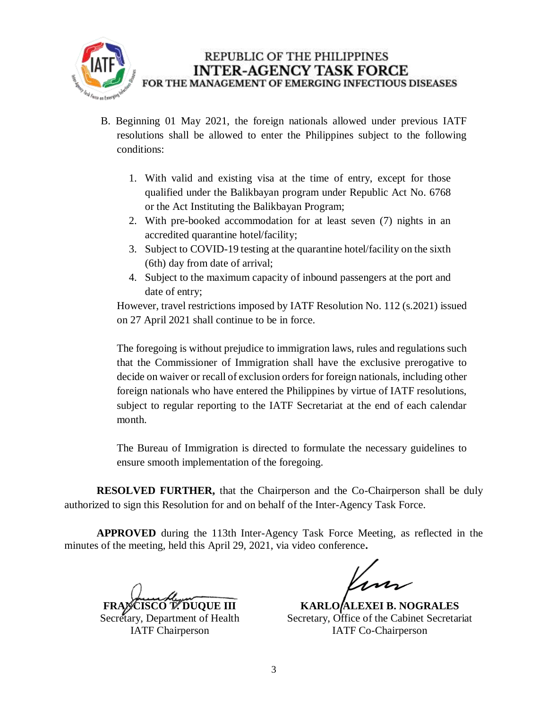

- B. Beginning 01 May 2021, the foreign nationals allowed under previous IATF resolutions shall be allowed to enter the Philippines subject to the following conditions:
	- 1. With valid and existing visa at the time of entry, except for those qualified under the Balikbayan program under Republic Act No. 6768 or the Act Instituting the Balikbayan Program;
	- 2. With pre-booked accommodation for at least seven (7) nights in an accredited quarantine hotel/facility;
	- 3. Subject to COVID-19 testing at the quarantine hotel/facility on the sixth (6th) day from date of arrival;
	- 4. Subject to the maximum capacity of inbound passengers at the port and date of entry;

However, travel restrictions imposed by IATF Resolution No. 112 (s.2021) issued on 27 April 2021 shall continue to be in force.

The foregoing is without prejudice to immigration laws, rules and regulations such that the Commissioner of Immigration shall have the exclusive prerogative to decide on waiver or recall of exclusion orders for foreign nationals, including other foreign nationals who have entered the Philippines by virtue of IATF resolutions, subject to regular reporting to the IATF Secretariat at the end of each calendar month.

The Bureau of Immigration is directed to formulate the necessary guidelines to ensure smooth implementation of the foregoing.

**RESOLVED FURTHER,** that the Chairperson and the Co-Chairperson shall be duly authorized to sign this Resolution for and on behalf of the Inter-Agency Task Force.

**APPROVED** during the 113th Inter-Agency Task Force Meeting, as reflected in the minutes of the meeting, held this April 29, 2021, via video conference**.**

**FRANCISCO TELECTION** 

Secretary, Department of Health IATF Chairperson

**KARLO ALEXEI B. NOGRALES** Secretary, Office of the Cabinet Secretariat IATF Co-Chairperson